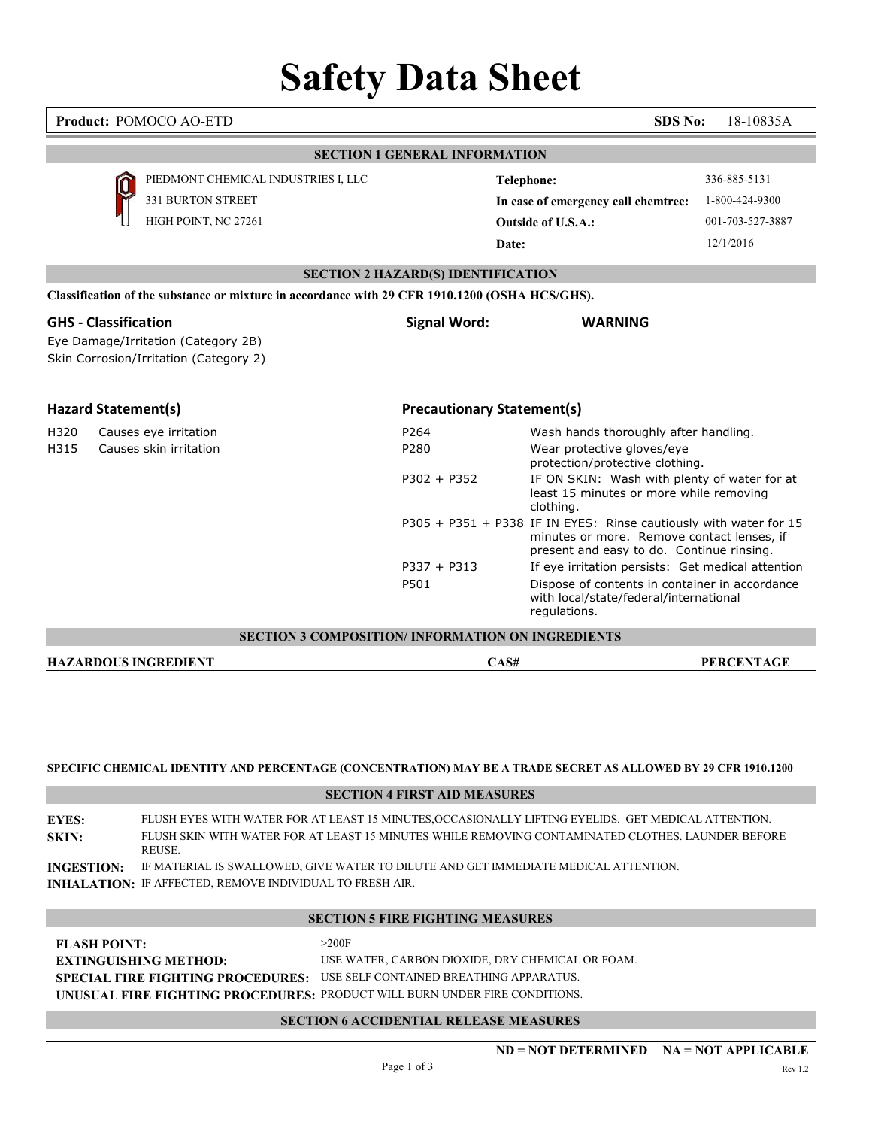## Safety Data Sheet

|      | Product: POMOCO AO-ETD                                                                                       |                                           | SDS No:                                                                                                                                                      | 18-10835A                                                       |
|------|--------------------------------------------------------------------------------------------------------------|-------------------------------------------|--------------------------------------------------------------------------------------------------------------------------------------------------------------|-----------------------------------------------------------------|
|      |                                                                                                              | <b>SECTION 1 GENERAL INFORMATION</b>      |                                                                                                                                                              |                                                                 |
|      | PIEDMONT CHEMICAL INDUSTRIES I, LLC<br>331 BURTON STREET<br>HIGH POINT, NC 27261                             |                                           | <b>Telephone:</b><br>In case of emergency call chemtrec:<br><b>Outside of U.S.A.:</b><br>Date:                                                               | 336-885-5131<br>1-800-424-9300<br>001-703-527-3887<br>12/1/2016 |
|      |                                                                                                              | <b>SECTION 2 HAZARD(S) IDENTIFICATION</b> |                                                                                                                                                              |                                                                 |
|      | Classification of the substance or mixture in accordance with 29 CFR 1910.1200 (OSHA HCS/GHS).               |                                           |                                                                                                                                                              |                                                                 |
|      | <b>GHS</b> - Classification<br>Eye Damage/Irritation (Category 2B)<br>Skin Corrosion/Irritation (Category 2) | <b>Signal Word:</b>                       | <b>WARNING</b>                                                                                                                                               |                                                                 |
|      | <b>Hazard Statement(s)</b>                                                                                   | <b>Precautionary Statement(s)</b>         |                                                                                                                                                              |                                                                 |
| H320 | Causes eye irritation                                                                                        | P264                                      | Wash hands thoroughly after handling.                                                                                                                        |                                                                 |
| H315 | Causes skin irritation                                                                                       | P280                                      | Wear protective gloves/eye                                                                                                                                   |                                                                 |
|      |                                                                                                              | $P302 + P352$                             | protection/protective clothing.<br>IF ON SKIN: Wash with plenty of water for at<br>least 15 minutes or more while removing<br>clothing.                      |                                                                 |
|      |                                                                                                              |                                           | P305 + P351 + P338 IF IN EYES: Rinse cautiously with water for 15<br>minutes or more. Remove contact lenses, if<br>present and easy to do. Continue rinsing. |                                                                 |
|      |                                                                                                              | $P337 + P313$                             | If eye irritation persists: Get medical attention                                                                                                            |                                                                 |
|      |                                                                                                              | P501                                      | Dispose of contents in container in accordance<br>with local/state/federal/international<br>regulations.                                                     |                                                                 |
|      | SECTION 3 COMPOSITION/ INFORMATION ON INGREDIENTS                                                            |                                           |                                                                                                                                                              |                                                                 |
|      | <b>HAZARDOUS INGREDIENT</b>                                                                                  |                                           | CAS#                                                                                                                                                         | <b>PERCENTAGE</b>                                               |

#### SPECIFIC CHEMICAL IDENTITY AND PERCENTAGE (CONCENTRATION) MAY BE A TRADE SECRET AS ALLOWED BY 29 CFR 1910.1200

| SPECIFIC CHEMICAL IDENTITY AND PERCENTAGE (CONCENTRATION) MAY BE A TRADE SECRET AS ALLOWED BY 29 CFR 1910.1200<br><b>SECTION 4 FIRST AID MEASURES</b><br>FLUSH EYES WITH WATER FOR AT LEAST 15 MINUTES, OCCASIONALLY LIFTING EYELIDS. GET MEDICAL ATTENTION.<br><b>EYES:</b><br>FLUSH SKIN WITH WATER FOR AT LEAST 15 MINUTES WHILE REMOVING CONTAMINATED CLOTHES. LAUNDER BEFORE<br>SKIN:<br>REUSE.<br>IF MATERIAL IS SWALLOWED, GIVE WATER TO DILUTE AND GET IMMEDIATE MEDICAL ATTENTION.<br><b>INGESTION:</b><br>INHALATION: IF AFFECTED, REMOVE INDIVIDUAL TO FRESH AIR.<br><b>SECTION 5 FIRE FIGHTING MEASURES</b><br>>200F<br><b>FLASH POINT:</b><br>USE WATER, CARBON DIOXIDE, DRY CHEMICAL OR FOAM.<br><b>EXTINGUISHING METHOD:</b><br>USE SELF CONTAINED BREATHING APPARATUS.<br><b>SPECIAL FIRE FIGHTING PROCEDURES:</b><br>UNUSUAL FIRE FIGHTING PROCEDURES: PRODUCT WILL BURN UNDER FIRE CONDITIONS.<br><b>SECTION 6 ACCIDENTIAL RELEASE MEASURES</b> | $ND = NOT DETERMINED$ $NA = NOT APPLICABLE$<br>Page 1 of 3 | Rev 1.2 |  |  |  |
|-------------------------------------------------------------------------------------------------------------------------------------------------------------------------------------------------------------------------------------------------------------------------------------------------------------------------------------------------------------------------------------------------------------------------------------------------------------------------------------------------------------------------------------------------------------------------------------------------------------------------------------------------------------------------------------------------------------------------------------------------------------------------------------------------------------------------------------------------------------------------------------------------------------------------------------------------------------------|------------------------------------------------------------|---------|--|--|--|
|                                                                                                                                                                                                                                                                                                                                                                                                                                                                                                                                                                                                                                                                                                                                                                                                                                                                                                                                                                   |                                                            |         |  |  |  |
|                                                                                                                                                                                                                                                                                                                                                                                                                                                                                                                                                                                                                                                                                                                                                                                                                                                                                                                                                                   |                                                            |         |  |  |  |
|                                                                                                                                                                                                                                                                                                                                                                                                                                                                                                                                                                                                                                                                                                                                                                                                                                                                                                                                                                   |                                                            |         |  |  |  |
|                                                                                                                                                                                                                                                                                                                                                                                                                                                                                                                                                                                                                                                                                                                                                                                                                                                                                                                                                                   |                                                            |         |  |  |  |
|                                                                                                                                                                                                                                                                                                                                                                                                                                                                                                                                                                                                                                                                                                                                                                                                                                                                                                                                                                   |                                                            |         |  |  |  |
|                                                                                                                                                                                                                                                                                                                                                                                                                                                                                                                                                                                                                                                                                                                                                                                                                                                                                                                                                                   |                                                            |         |  |  |  |
|                                                                                                                                                                                                                                                                                                                                                                                                                                                                                                                                                                                                                                                                                                                                                                                                                                                                                                                                                                   |                                                            |         |  |  |  |
|                                                                                                                                                                                                                                                                                                                                                                                                                                                                                                                                                                                                                                                                                                                                                                                                                                                                                                                                                                   |                                                            |         |  |  |  |
|                                                                                                                                                                                                                                                                                                                                                                                                                                                                                                                                                                                                                                                                                                                                                                                                                                                                                                                                                                   |                                                            |         |  |  |  |
|                                                                                                                                                                                                                                                                                                                                                                                                                                                                                                                                                                                                                                                                                                                                                                                                                                                                                                                                                                   |                                                            |         |  |  |  |

| <b>FLASH POINT:</b>          | >200F                                                                      |
|------------------------------|----------------------------------------------------------------------------|
| <b>EXTINGUISHING METHOD:</b> | USE WATER. CARBON DIOXIDE. DRY CHEMICAL OR FOAM.                           |
|                              | SPECIAL FIRE FIGHTING PROCEDURES: USE SELF CONTAINED BREATHING APPARATUS.  |
|                              | UNUSUAL FIRE FIGHTING PROCEDURES: PRODUCT WILL BURN UNDER FIRE CONDITIONS. |

### SECTION 6 ACCIDENTIAL RELEASE MEASURES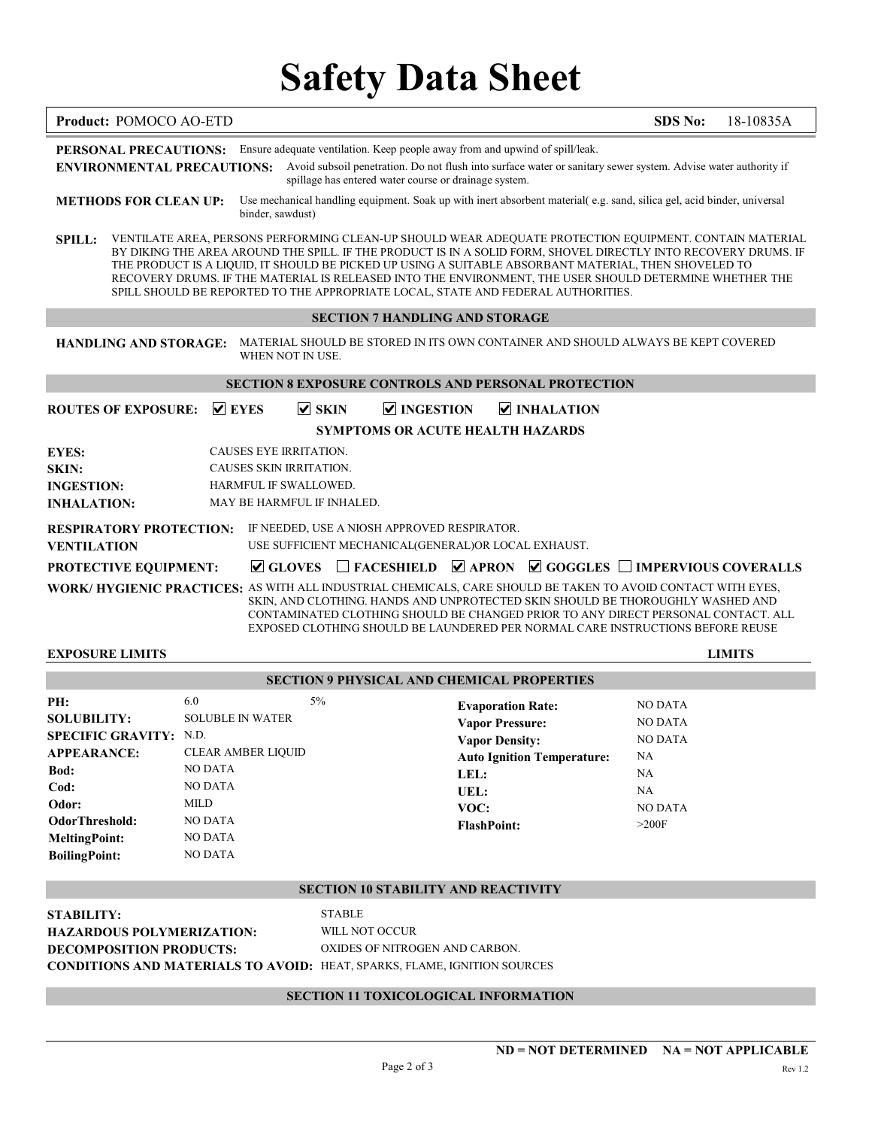# Safety Data Sheet

| Product: POMOCO AO-ETD                               |                           |                                                     |                                                                                                                                                                                                                                                                                                                                                                                                                                                                                                                                            | SDS No:                | 18-10835A     |
|------------------------------------------------------|---------------------------|-----------------------------------------------------|--------------------------------------------------------------------------------------------------------------------------------------------------------------------------------------------------------------------------------------------------------------------------------------------------------------------------------------------------------------------------------------------------------------------------------------------------------------------------------------------------------------------------------------------|------------------------|---------------|
|                                                      |                           |                                                     | PERSONAL PRECAUTIONS: Ensure adequate ventilation. Keep people away from and upwind of spill/leak.<br>ENVIRONMENTAL PRECAUTIONS: Avoid subsoil penetration. Do not flush into surface water or sanitary sewer system. Advise water authority if<br>spillage has entered water course or drainage system.                                                                                                                                                                                                                                   |                        |               |
| <b>METHODS FOR CLEAN UP:</b>                         |                           | binder, sawdust)                                    | Use mechanical handling equipment. Soak up with inert absorbent material(e.g. sand, silica gel, acid binder, universal                                                                                                                                                                                                                                                                                                                                                                                                                     |                        |               |
|                                                      |                           |                                                     | SPILL: VENTILATE AREA, PERSONS PERFORMING CLEAN-UP SHOULD WEAR ADEQUATE PROTECTION EQUIPMENT. CONTAIN MATERIAL<br>BY DIKING THE AREA AROUND THE SPILL. IF THE PRODUCT IS IN A SOLID FORM, SHOVEL DIRECTLY INTO RECOVERY DRUMS. IF<br>THE PRODUCT IS A LIQUID, IT SHOULD BE PICKED UP USING A SUITABLE ABSORBANT MATERIAL, THEN SHOVELED TO<br>RECOVERY DRUMS. IF THE MATERIAL IS RELEASED INTO THE ENVIRONMENT, THE USER SHOULD DETERMINE WHETHER THE<br>SPILL SHOULD BE REPORTED TO THE APPROPRIATE LOCAL, STATE AND FEDERAL AUTHORITIES. |                        |               |
|                                                      |                           |                                                     | <b>SECTION 7 HANDLING AND STORAGE</b>                                                                                                                                                                                                                                                                                                                                                                                                                                                                                                      |                        |               |
| <b>HANDLING AND STORAGE:</b>                         |                           | WHEN NOT IN USE.                                    | MATERIAL SHOULD BE STORED IN ITS OWN CONTAINER AND SHOULD ALWAYS BE KEPT COVERED                                                                                                                                                                                                                                                                                                                                                                                                                                                           |                        |               |
|                                                      |                           |                                                     | <b>SECTION 8 EXPOSURE CONTROLS AND PERSONAL PROTECTION</b>                                                                                                                                                                                                                                                                                                                                                                                                                                                                                 |                        |               |
| <b>ROUTES OF EXPOSURE:</b>                           | $\vee$ EYES               | $\nabla$ SKIN                                       | <b>▽ INGESTION</b><br>$\vee$ INHALATION                                                                                                                                                                                                                                                                                                                                                                                                                                                                                                    |                        |               |
|                                                      |                           |                                                     | SYMPTOMS OR ACUTE HEALTH HAZARDS                                                                                                                                                                                                                                                                                                                                                                                                                                                                                                           |                        |               |
| <b>EYES:</b>                                         |                           | CAUSES EYE IRRITATION.                              |                                                                                                                                                                                                                                                                                                                                                                                                                                                                                                                                            |                        |               |
| <b>SKIN:</b>                                         |                           | CAUSES SKIN IRRITATION.                             |                                                                                                                                                                                                                                                                                                                                                                                                                                                                                                                                            |                        |               |
| <b>INGESTION:</b><br><b>INHALATION:</b>              |                           | HARMFUL IF SWALLOWED.<br>MAY BE HARMFUL IF INHALED. |                                                                                                                                                                                                                                                                                                                                                                                                                                                                                                                                            |                        |               |
| <b>RESPIRATORY PROTECTION:</b><br><b>VENTILATION</b> |                           | IF NEEDED, USE A NIOSH APPROVED RESPIRATOR.         | USE SUFFICIENT MECHANICAL(GENERAL)OR LOCAL EXHAUST.                                                                                                                                                                                                                                                                                                                                                                                                                                                                                        |                        |               |
| PROTECTIVE EQUIPMENT:                                |                           | $\vee$ GLOVES                                       | $\Box$ FACESHIELD $\Box$ APRON $\Box$ GOGGLES $\Box$ IMPERVIOUS COVERALLS                                                                                                                                                                                                                                                                                                                                                                                                                                                                  |                        |               |
|                                                      |                           |                                                     | <b>WORK/ HYGIENIC PRACTICES: AS WITH ALL INDUSTRIAL CHEMICALS, CARE SHOULD BE TAKEN TO AVOID CONTACT WITH EYES,</b><br>SKIN, AND CLOTHING. HANDS AND UNPROTECTED SKIN SHOULD BE THOROUGHLY WASHED AND<br>CONTAMINATED CLOTHING SHOULD BE CHANGED PRIOR TO ANY DIRECT PERSONAL CONTACT. ALL<br>EXPOSED CLOTHING SHOULD BE LAUNDERED PER NORMAL CARE INSTRUCTIONS BEFORE REUSE                                                                                                                                                               |                        |               |
| <b>EXPOSURE LIMITS</b>                               |                           |                                                     |                                                                                                                                                                                                                                                                                                                                                                                                                                                                                                                                            |                        | <b>LIMITS</b> |
|                                                      |                           |                                                     | <b>SECTION 9 PHYSICAL AND CHEMICAL PROPERTIES</b>                                                                                                                                                                                                                                                                                                                                                                                                                                                                                          |                        |               |
| PH:                                                  | 6.0                       | 5%                                                  | <b>Evaporation Rate:</b>                                                                                                                                                                                                                                                                                                                                                                                                                                                                                                                   | <b>NO DATA</b>         |               |
| <b>SOLUBILITY:</b>                                   | <b>SOLUBLE IN WATER</b>   |                                                     | <b>Vapor Pressure:</b>                                                                                                                                                                                                                                                                                                                                                                                                                                                                                                                     | NO DATA                |               |
| <b>SPECIFIC GRAVITY: N.D.</b><br><b>APPEARANCE:</b>  | CLEAR AMBER LIQUID        |                                                     | <b>Vapor Density:</b>                                                                                                                                                                                                                                                                                                                                                                                                                                                                                                                      | <b>NO DATA</b>         |               |
| Bod:                                                 | <b>NO DATA</b>            |                                                     | <b>Auto Ignition Temperature:</b>                                                                                                                                                                                                                                                                                                                                                                                                                                                                                                          | NA                     |               |
| Cod:                                                 | NO DATA                   |                                                     | LEL:                                                                                                                                                                                                                                                                                                                                                                                                                                                                                                                                       | <b>NA</b><br><b>NA</b> |               |
| Odor:                                                | MILD                      |                                                     | UEL:<br>VOC:                                                                                                                                                                                                                                                                                                                                                                                                                                                                                                                               | NO DATA                |               |
| <b>OdorThreshold:</b>                                | <b>NO DATA</b>            |                                                     | <b>FlashPoint:</b>                                                                                                                                                                                                                                                                                                                                                                                                                                                                                                                         | >200F                  |               |
| <b>MeltingPoint:</b><br><b>BoilingPoint:</b>         | NO DATA<br><b>NO DATA</b> |                                                     |                                                                                                                                                                                                                                                                                                                                                                                                                                                                                                                                            |                        |               |
|                                                      |                           |                                                     | <b>SECTION 10 STABILITY AND REACTIVITY</b>                                                                                                                                                                                                                                                                                                                                                                                                                                                                                                 |                        |               |
| <b>STABILITY:</b>                                    |                           | <b>STABLE</b>                                       |                                                                                                                                                                                                                                                                                                                                                                                                                                                                                                                                            |                        |               |
| <b>HAZARDOUS POLYMERIZATION:</b>                     |                           | WILL NOT OCCUR                                      |                                                                                                                                                                                                                                                                                                                                                                                                                                                                                                                                            |                        |               |
| DECOMPOSITION PRODUCTS:                              |                           |                                                     | OXIDES OF NITROGEN AND CARBON.<br>CONDITIONS AND MATERIALS TO AVOID: HEAT, SPARKS, FLAME, IGNITION SOURCES                                                                                                                                                                                                                                                                                                                                                                                                                                 |                        |               |
|                                                      |                           |                                                     | SECTION 11 TOXICOLOGICAL INFORMATION                                                                                                                                                                                                                                                                                                                                                                                                                                                                                                       |                        |               |
|                                                      |                           |                                                     |                                                                                                                                                                                                                                                                                                                                                                                                                                                                                                                                            |                        |               |
|                                                      |                           |                                                     | $ND = NOT DETERMINED$ $NA = NOT APPLICABLE$<br>Page 2 of 3                                                                                                                                                                                                                                                                                                                                                                                                                                                                                 |                        | Rev 1.2       |
|                                                      |                           |                                                     |                                                                                                                                                                                                                                                                                                                                                                                                                                                                                                                                            |                        |               |
|                                                      |                           |                                                     |                                                                                                                                                                                                                                                                                                                                                                                                                                                                                                                                            |                        |               |